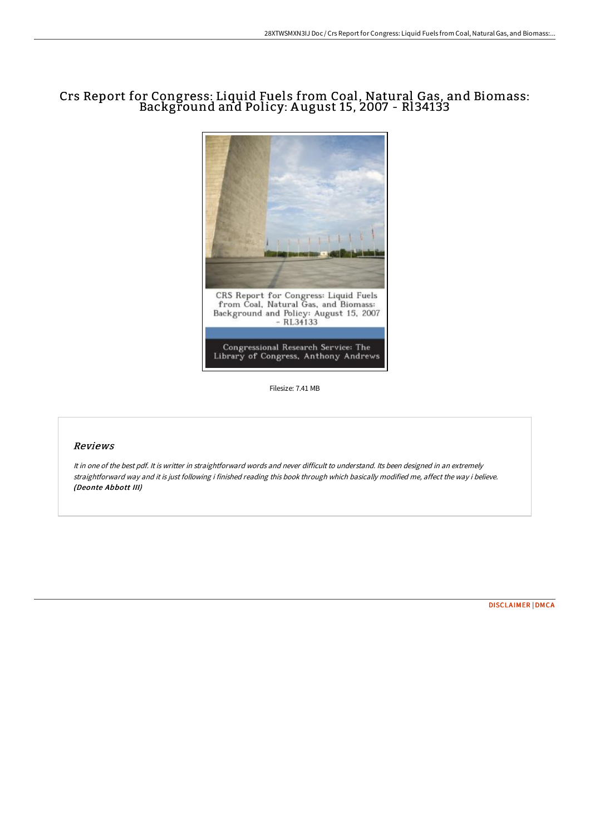## Crs Report for Congress: Liquid Fuels from Coal, Natural Gas, and Biomass: Background and Policy: A ugust 15, 2007 - Rl34133



Filesize: 7.41 MB

## Reviews

It in one of the best pdf. It is writter in straightforward words and never difficult to understand. Its been designed in an extremely straightforward way and it is just following i finished reading this book through which basically modified me, affect the way i believe. (Deonte Abbott III)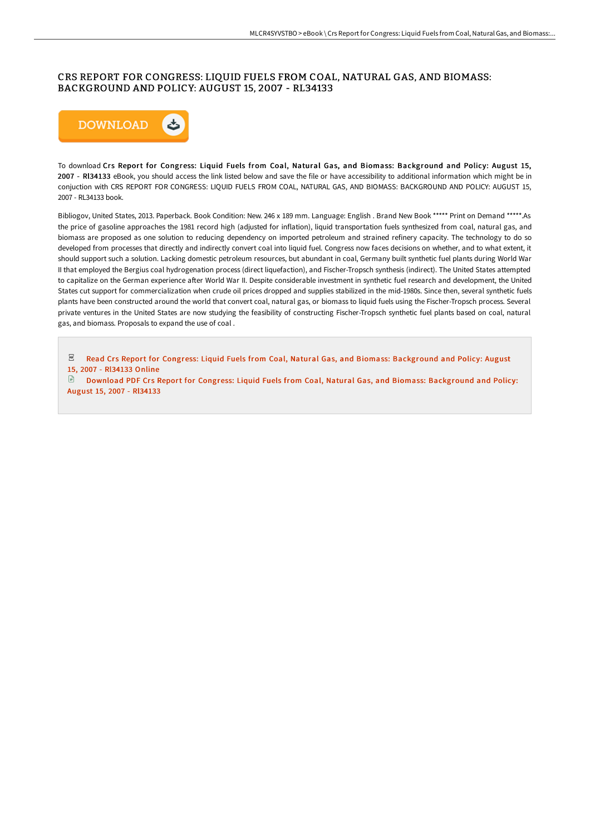## CRS REPORT FOR CONGRESS: LIQUID FUELS FROM COAL, NATURAL GAS, AND BIOMASS: BACKGROUND AND POLICY: AUGUST 15, 2007 - RL34133



To download Crs Report for Congress: Liquid Fuels from Coal, Natural Gas, and Biomass: Background and Policy: August 15, 2007 - Rl34133 eBook, you should access the link listed below and save the file or have accessibility to additional information which might be in conjuction with CRS REPORT FOR CONGRESS: LIQUID FUELS FROM COAL, NATURAL GAS, AND BIOMASS: BACKGROUND AND POLICY: AUGUST 15, 2007 - RL34133 book.

Bibliogov, United States, 2013. Paperback. Book Condition: New. 246 x 189 mm. Language: English . Brand New Book \*\*\*\*\* Print on Demand \*\*\*\*\*.As the price of gasoline approaches the 1981 record high (adjusted for inflation), liquid transportation fuels synthesized from coal, natural gas, and biomass are proposed as one solution to reducing dependency on imported petroleum and strained refinery capacity. The technology to do so developed from processes that directly and indirectly convert coal into liquid fuel. Congress now faces decisions on whether, and to what extent, it should support such a solution. Lacking domestic petroleum resources, but abundant in coal, Germany built synthetic fuel plants during World War II that employed the Bergius coal hydrogenation process (direct liquefaction), and Fischer-Tropsch synthesis (indirect). The United States attempted to capitalize on the German experience after World War II. Despite considerable investment in synthetic fuel research and development, the United States cut support for commercialization when crude oil prices dropped and supplies stabilized in the mid-1980s. Since then, several synthetic fuels plants have been constructed around the world that convert coal, natural gas, or biomass to liquid fuels using the Fischer-Tropsch process. Several private ventures in the United States are now studying the feasibility of constructing Fischer-Tropsch synthetic fuel plants based on coal, natural gas, and biomass. Proposals to expand the use of coal .

 $_{\rm PDF}$ Read Crs Report for Congress: Liquid Fuels from Coal, Natural Gas, and Biomass: [Background](http://techno-pub.tech/crs-report-for-congress-liquid-fuels-from-coal-n.html) and Policy: August 15, 2007 - Rl34133 Online

 $\Box$  Download PDF Crs Report for Congress: Liquid Fuels from Coal, Natural Gas, and Biomass: [Background](http://techno-pub.tech/crs-report-for-congress-liquid-fuels-from-coal-n.html) and Policy: August 15, 2007 - Rl34133